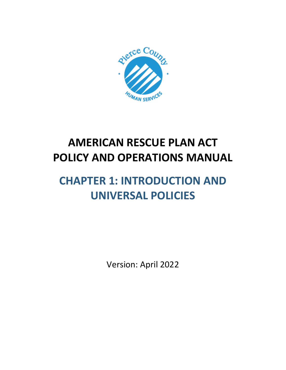

# **AMERICAN RESCUE PLAN ACT POLICY AND OPERATIONS MANUAL**

# **CHAPTER 1: INTRODUCTION AND UNIVERSAL POLICIES**

Version: April 2022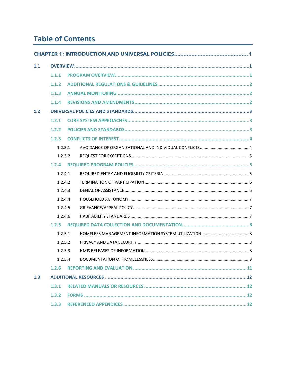# **Table of Contents**

| 1.1   |         |      |    |  |
|-------|---------|------|----|--|
|       | 1.1.1   |      |    |  |
|       | 1.1.2   |      |    |  |
|       | 1.1.3   |      |    |  |
|       | 1.1.4   |      |    |  |
| $1.2$ |         |      |    |  |
|       | 1.2.1   |      |    |  |
|       | 1.2.2   |      |    |  |
|       | 1.2.3   |      |    |  |
|       | 1.2.3.1 |      |    |  |
|       | 1.2.3.2 |      |    |  |
|       | 1.2.4   |      |    |  |
|       | 1.2.4.1 |      |    |  |
|       | 1.2.4.2 |      |    |  |
|       | 1.2.4.3 |      |    |  |
|       | 1.2.4.4 |      |    |  |
|       | 1.2.4.5 |      |    |  |
|       | 1.2.4.6 |      |    |  |
|       | 1.2.5   |      |    |  |
|       | 1.2.5.1 |      |    |  |
|       | 1.2.5.2 |      |    |  |
|       | 1.2.5.3 |      |    |  |
|       |         | 1254 | .9 |  |
|       | 1.2.6   |      |    |  |
| 1.3   |         |      |    |  |
|       | 1.3.1   |      |    |  |
|       | 1.3.2   |      |    |  |
|       | 1.3.3   |      |    |  |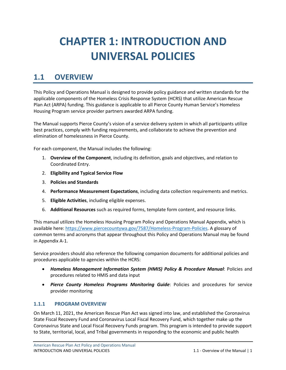# <span id="page-2-0"></span>**CHAPTER 1: INTRODUCTION AND UNIVERSAL POLICIES**

# <span id="page-2-1"></span>**1.1 OVERVIEW**

This Policy and Operations Manual is designed to provide policy guidance and written standards for the applicable components of the Homeless Crisis Response System (HCRS) that utilize American Rescue Plan Act (ARPA) funding. This guidance is applicable to all Pierce County Human Service's Homeless Housing Program service provider partners awarded ARPA funding.

The Manual supports Pierce County's vision of a service delivery system in which all participants utilize best practices, comply with funding requirements, and collaborate to achieve the prevention and elimination of homelessness in Pierce County.

For each component, the Manual includes the following:

- 1. **Overview of the Component**, including its definition, goals and objectives, and relation to Coordinated Entry.
- 2. **Eligibility and Typical Service Flow**
- 3. **Policies and Standards**
- 4. **Performance Measurement Expectations**, including data collection requirements and metrics.
- 5. **Eligible Activities**, including eligible expenses.
- 6. **Additional Resources** such as required forms, template form content, and resource links.

This manual utilizes the Homeless Housing Program Policy and Operations Manual Appendix, which is available here: [https://www.piercecountywa.gov/7587/Homeless-Program-Policies.](https://www.piercecountywa.gov/7587/Homeless-Program-Policies) A glossary of common terms and acronyms that appear throughout this Policy and Operations Manual may be found in Appendix A-1.

Service providers should also reference the following companion documents for additional policies and procedures applicable to agencies within the HCRS:

- *Homeless Management Information System (HMIS) Policy & Procedure Manual*: Policies and procedures related to HMIS and data input
- *Pierce County Homeless Programs Monitoring Guide*: Policies and procedures for service provider monitoring

#### <span id="page-2-2"></span>**1.1.1 PROGRAM OVERVIEW**

On March 11, 2021, the American Rescue Plan Act was signed into law, and established the Coronavirus State Fiscal Recovery Fund and Coronavirus Local Fiscal Recovery Fund, which together make up the Coronavirus State and Local Fiscal Recovery Funds program. This program is intended to provide support to State, territorial, local, and Tribal governments in responding to the economic and public health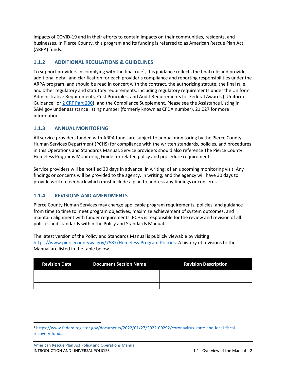impacts of COVID-19 and in their efforts to contain impacts on their communities, residents, and businesses. In Pierce County, this program and its funding is referred to as American Rescue Plan Act (ARPA) funds.

# <span id="page-3-0"></span>**1.1.2 ADDITIONAL REGULATIONS & GUIDELINES**

To support providers in complying with the final rule<sup>1</sup>, this guidance reflects the final rule and provides additional detail and clarification for each provider's compliance and reporting responsibilities under the ARPA program, and should be read in concert with the contract, the authorizing statute, the final rule, and other regulatory and statutory requirements, including regulatory requirements under the Uniform Administrative Requirements, Cost Principles, and Audit Requirements for Federal Awards ("Uniform Guidance" or [2 CRF Part 200\)](https://www.ecfr.gov/current/title-2/subtitle-A/chapter-II/part-200), and the Compliance Supplement. Please see the Assistance Listing in SAM.gov under assistance listing number (formerly known as CFDA number), 21.027 for more information.

# <span id="page-3-1"></span>**1.1.3 ANNUAL MONITORING**

All service providers funded with ARPA funds are subject to annual monitoring by the Pierce County Human Services Department (PCHS) for compliance with the written standards, policies, and procedures in this Operations and Standards Manual. Service providers should also reference The Pierce County Homeless Programs Monitoring Guide for related policy and procedure requirements.

Service providers will be notified 30 days in advance, in writing, of an upcoming monitoring visit. Any findings or concerns will be provided to the agency, in writing, and the agency will have 30 days to provide written feedback which must include a plan to address any findings or concerns.

# <span id="page-3-2"></span>**1.1.4 REVISIONS AND AMENDMENTS**

Pierce County Human Services may change applicable program requirements, policies, and guidance from time to time to meet program objectives, maximize achievement of system outcomes, and maintain alignment with funder requirements. PCHS is responsible for the review and revision of all policies and standards within the Policy and Standards Manual.

The latest version of the Policy and Standards Manual is publicly viewable by visiting [https://www.piercecountywa.gov/7587/Homeless-Program-Policies.](https://www.piercecountywa.gov/7587/Homeless-Program-Policies) A history of revisions to the Manual are listed in the table below.

| <b>Revision Date</b> | <b>Document Section Name</b> | <b>Revision Description</b> |
|----------------------|------------------------------|-----------------------------|
|                      |                              |                             |
|                      |                              |                             |
|                      |                              |                             |

<sup>1</sup> [https://www.federalregister.gov/documents/2022/01/27/2022-00292/coronavirus-state-and-local-fiscal](https://www.federalregister.gov/documents/2022/01/27/2022-00292/coronavirus-state-and-local-fiscal-recovery-funds)[recovery-funds](https://www.federalregister.gov/documents/2022/01/27/2022-00292/coronavirus-state-and-local-fiscal-recovery-funds)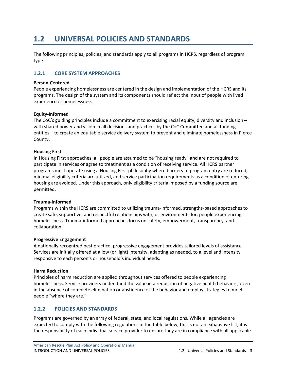# <span id="page-4-0"></span>**1.2 UNIVERSAL POLICIES AND STANDARDS**

The following principles, policies, and standards apply to all programs in HCRS, regardless of program type.

### <span id="page-4-1"></span>**1.2.1 CORE SYSTEM APPROACHES**

#### **Person-Centered**

People experiencing homelessness are centered in the design and implementation of the HCRS and its programs. The design of the system and its components should reflect the input of people with lived experience of homelessness.

#### **Equity-Informed**

The CoC's guiding principles include a commitment to exercising racial equity, diversity and inclusion – with shared power and vision in all decisions and practices by the CoC Committee and all funding entities – to create an equitable service delivery system to prevent and eliminate homelessness in Pierce County.

#### **Housing First**

In Housing First approaches, all people are assumed to be "housing ready" and are not required to participate in services or agree to treatment as a condition of receiving service. All HCRS partner programs must operate using a Housing First philosophy where barriers to program entry are reduced, minimal eligibility criteria are utilized, and service participation requirements as a condition of entering housing are avoided. Under this approach, only eligibility criteria imposed by a funding source are permitted.

#### **Trauma-Informed**

Programs within the HCRS are committed to utilizing trauma-informed, strengths-based approaches to create safe, supportive, and respectful relationships with, or environments for, people experiencing homelessness. Trauma-informed approaches focus on safety, empowerment, transparency, and collaboration.

#### **Progressive Engagement**

A nationally recognized best practice, progressive engagement provides tailored levels of assistance. Services are initially offered at a low (or light) intensity, adapting as needed, to a level and intensity responsive to each person's or household's individual needs.

#### **Harm Reduction**

Principles of harm reduction are applied throughout services offered to people experiencing homelessness. Service providers understand the value in a reduction of negative health behaviors, even in the absence of complete elimination or abstinence of the behavior and employ strategies to meet people "where they are."

#### <span id="page-4-2"></span>**1.2.2 POLICIES AND STANDARDS**

Programs are governed by an array of federal, state, and local regulations. While all agencies are expected to comply with the following regulations in the table below, this is not an exhaustive list; it is the responsibility of each individual service provider to ensure they are in compliance with all applicable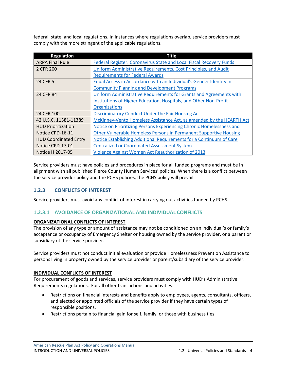federal, state, and local regulations. In instances where regulations overlap, service providers must comply with the more stringent of the applicable regulations.

| <b>Regulation</b>            | <b>Title</b>                                                         |
|------------------------------|----------------------------------------------------------------------|
| <b>ARPA Final Rule</b>       | Federal Register: Coronavirus State and Local Fiscal Recovery Funds  |
| 2 CFR 200                    | Uniform Administrative Requirements, Cost Principles, and Audit      |
|                              | <b>Requirements for Federal Awards</b>                               |
| 24 CFR 5                     | Equal Access in Accordance with an Individual's Gender Identity in   |
|                              | <b>Community Planning and Development Programs</b>                   |
| 24 CFR 84                    | Uniform Administrative Requirements for Grants and Agreements with   |
|                              | Institutions of Higher Education, Hospitals, and Other Non-Profit    |
|                              | <b>Organizations</b>                                                 |
| 24 CFR 100                   | <b>Discriminatory Conduct Under the Fair Housing Act</b>             |
| 42 U.S.C. 11381-11389        | McKinney-Vento Homeless Assistance Act, as amended by the HEARTH Act |
| <b>HUD Prioritization</b>    | Notice on Prioritizing Persons Experiencing Chronic Homelessness and |
| Notice CPD-16-11             | Other Vulnerable Homeless Persons in Permanent Supportive Housing    |
| <b>HUD Coordinated Entry</b> | Notice Establishing Additional Requirements for a Continuum of Care  |
| Notice CPD-17-01             | <b>Centralized or Coordinated Assessment System</b>                  |
| Notice H 2017-05             | Violence Against Women Act Reauthorization of 2013                   |

Service providers must have policies and procedures in place for all funded programs and must be in alignment with all published Pierce County Human Services' policies. When there is a conflict between the service provider policy and the PCHS policies, the PCHS policy will prevail.

# <span id="page-5-0"></span>**1.2.3 CONFLICTS OF INTEREST**

Service providers must avoid any conflict of interest in carrying out activities funded by PCHS.

# <span id="page-5-1"></span>**1.2.3.1 AVOIDANCE OF ORGANIZATIONAL AND INDIVIDUAL CONFLICTS**

#### **ORGANIZATIONAL CONFLICTS OF INTEREST**

The provision of any type or amount of assistance may not be conditioned on an individual's or family's acceptance or occupancy of Emergency Shelter or housing owned by the service provider, or a parent or subsidiary of the service provider.

Service providers must not conduct initial evaluation or provide Homelessness Prevention Assistance to persons living in property owned by the service provider or parent/subsidiary of the service provider.

#### **INDIVIDUAL CONFLICTS OF INTEREST**

For procurement of goods and services, service providers must comply with HUD's Administrative Requirements regulations. For all other transactions and activities:

- Restrictions on financial interests and benefits apply to employees, agents, consultants, officers, and elected or appointed officials of the service provider if they have certain types of responsible positions.
- Restrictions pertain to financial gain for self, family, or those with business ties.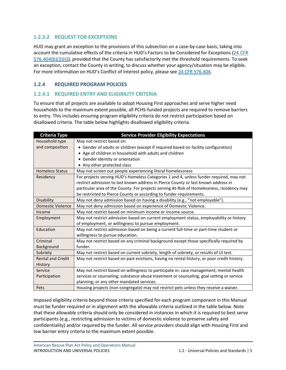# <span id="page-6-0"></span>**1.2.3.2 REQUEST FOR EXCEPTIONS**

HUD may grant an exception to the provisions of this subsection on a case-by-case basis, taking into account the cumulative effects of the criteria in HUD's Factors to be Considered for Exceptions (24 [CFR](https://ecfr.federalregister.gov/current/title-24/subtitle-B/chapter-V/subchapter-C/part-576/subpart-E/section-576.404#p-576.404(b)(3)(ii)) [576.404\(b\)\(3\)\(ii\)\)](https://ecfr.federalregister.gov/current/title-24/subtitle-B/chapter-V/subchapter-C/part-576/subpart-E/section-576.404#p-576.404(b)(3)(ii)), provided that the County has satisfactorily met the threshold requirements. To seek an exception, contact the County in writing, to discuss whether your agency/situation may be eligible. For more information on HUD's Conflict of Interest policy, please see 24 CFR [576.404.](https://ecfr.federalregister.gov/current/title-24/subtitle-B/chapter-V/subchapter-C/part-576/subpart-E/section-576.404)

# <span id="page-6-1"></span>**1.2.4 REQUIRED PROGRAM POLICIES**

# <span id="page-6-2"></span>**1.2.4.1 REQUIRED ENTRY AND ELIGIBILITY CRITERIA**

To ensure that all projects are available to adopt Housing First approaches and serve higher need households to the maximum extent possible, all PCHS-funded projects are required to remove barriers to entry. This includes ensuring program eligibility criteria do not restrict participation based on disallowed criteria. The table below highlights disallowed eligibility criteria.

| <b>Criteria Type</b>                                                                               | <b>Service Provider Eligibility Expectations</b>                                            |  |
|----------------------------------------------------------------------------------------------------|---------------------------------------------------------------------------------------------|--|
| Household type                                                                                     | May not restrict based on:                                                                  |  |
| and composition                                                                                    | • Gender of adults or children (except if required based on facility configuration)         |  |
|                                                                                                    | • Age of children in household with adults and children                                     |  |
|                                                                                                    | Gender identity or orientation                                                              |  |
|                                                                                                    | Any other protected class                                                                   |  |
| <b>Homeless Status</b>                                                                             | May not screen out people experiencing literal homelessness                                 |  |
| Residency                                                                                          | For projects serving HUD's Homeless Categories 1 and 4, unless funder required, may not     |  |
|                                                                                                    | restrict admission to last known address in Pierce County or last known address in          |  |
|                                                                                                    | particular area of the County. For projects serving At-Risk of Homelessness, residency may  |  |
|                                                                                                    | be restricted to Pierce County or according to funder requirements.                         |  |
| Disability                                                                                         | May not deny admission based on having a disability (e.g., "not employable").               |  |
| <b>Domestic Violence</b>                                                                           | May not deny admission based on experience of Domestic Violence.                            |  |
| Income                                                                                             | May not restrict based on minimum income or income source.                                  |  |
| Employment                                                                                         | May not restrict admission based on current employment status, employability or history     |  |
|                                                                                                    | of employment, or willingness to pursue employment.                                         |  |
| May not restrict admission based on being a current full-time or part-time student or<br>Education |                                                                                             |  |
|                                                                                                    | willingness to pursue education.                                                            |  |
| Criminal                                                                                           | May not restrict based on any criminal background except those specifically required by     |  |
| Background                                                                                         | funder.                                                                                     |  |
| Sobriety                                                                                           | May not restrict based on current sobriety, length of sobriety, or results of UI test.      |  |
| <b>Rental and Credit</b>                                                                           | May not restrict based on past evictions, having no rental history, or poor credit history. |  |
| History                                                                                            |                                                                                             |  |
| Service                                                                                            | May not restrict based on willingness to participate in: case management; mental health     |  |
| Participation                                                                                      | services or counseling; substance abuse treatment or counseling; goal setting or service    |  |
|                                                                                                    | planning; or any other mandated services.                                                   |  |
| Pets                                                                                               | Housing projects (non-congregate) may not restrict pets unless they receive a waiver.       |  |

Imposed eligibility criteria beyond those criteria specified for each program component in this Manual must be funder required or in alignment with the allowable criteria outlined in the table below. Note that these allowable criteria should only be considered in instances in which it is required to best serve participants (e.g., restricting admission to victims of domestic violence to preserve safety and confidentiality) and/or required by the funder. All service providers should align with Housing First and low barrier entry criteria to the maximum extent possible.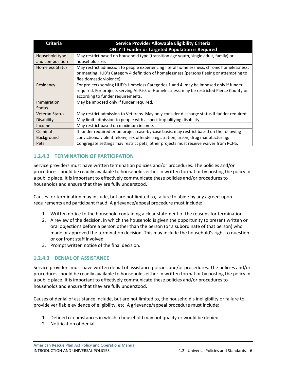| <b>Criteria</b>        | Service Provider Allowable Eligibility Criteria                                            |
|------------------------|--------------------------------------------------------------------------------------------|
|                        | <b>ONLY If Funder or Targeted Population is Required</b>                                   |
| Household type         | May restrict based on household type (transition age youth, single adult, family) or       |
| and composition        | household size.                                                                            |
| <b>Homeless Status</b> | May restrict admission to people experiencing literal homelessness, chronic homelessness,  |
|                        | or meeting HUD's Category 4 definition of homelessness (persons fleeing or attempting to   |
|                        | flee domestic violence).                                                                   |
| Residency              | For projects serving HUD's Homeless Categories 1 and 4, may be imposed only if funder      |
|                        | required. For projects serving At-Risk of Homelessness, may be restricted Pierce County or |
|                        | according to funder requirements.                                                          |
| Immigration            | May be imposed only if funder required.                                                    |
| <b>Status</b>          |                                                                                            |
| <b>Veteran Status</b>  | May restrict admission to Veterans. May only consider discharge status if funder required. |
| Disability             | May limit admission to people with a specific qualifying disability.                       |
| Income                 | May restrict based on maximum income.                                                      |
| Criminal               | If funder required or on project case-by-case basis, may restrict based on the following   |
| Background             | convictions: violent felony, sex offender registration, arson, drug manufacturing.         |
| Pets                   | Congregate settings may restrict pets, other projects must receive waiver from PCHS.       |

# <span id="page-7-0"></span>**1.2.4.2 TERMINATION OF PARTICIPATION**

Service providers must have written termination policies and/or procedures. The policies and/or procedures should be readily available to households either in written format or by posting the policy in a public place. It is important to effectively communicate these policies and/or procedures to households and ensure that they are fully understood.

Causes for termination may include, but are not limited to, failure to abide by any agreed-upon requirements and participant fraud. A grievance/appeal procedure must include:

- 1. Written notice to the household containing a clear statement of the reasons for termination
- 2. A review of the decision, in which the household is given the opportunity to present written or oral objections before a person other than the person (or a subordinate of that person) who made or approved the termination decision. This may include the household's right to question or confront staff involved
- 3. Prompt written notice of the final decision.

#### <span id="page-7-1"></span>**1.2.4.3 DENIAL OF ASSISTANCE**

Service providers must have written denial of assistance policies and/or procedures. The policies and/or procedures should be readily available to households either in written format or by posting the policy in a public place. It is important to effectively communicate these policies and/or procedures to households and ensure that they are fully understood.

Causes of denial of assistance include, but are not limited to, the household's ineligibility or failure to provide verifiable evidence of eligibility, etc. A grievance/appeal procedure must include:

- 1. Defined circumstances in which a household may not qualify or would be denied
- 2. Notification of denial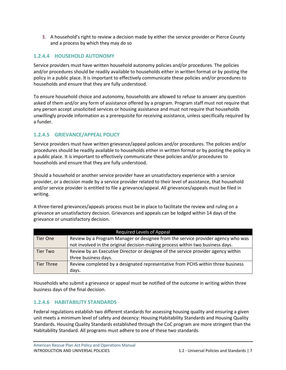3. A household's right to review a decision made by either the service provider or Pierce County and a process by which they may do so

# <span id="page-8-0"></span>**1.2.4.4 HOUSEHOLD AUTONOMY**

Service providers must have written household autonomy policies and/or procedures. The policies and/or procedures should be readily available to households either in written format or by posting the policy in a public place. It is important to effectively communicate these policies and/or procedures to households and ensure that they are fully understood.

To ensure household choice and autonomy, households are allowed to refuse to answer any question asked of them and/or any form of assistance offered by a program. Program staff must not require that any person accept unsolicited services or housing assistance and must not require that households unwillingly provide information as a prerequisite for receiving assistance, unless specifically required by a funder.

# <span id="page-8-1"></span>**1.2.4.5 GRIEVANCE/APPEAL POLICY**

Service providers must have written grievance/appeal policies and/or procedures. The policies and/or procedures should be readily available to households either in written format or by posting the policy in a public place. It is important to effectively communicate these policies and/or procedures to households and ensure that they are fully understood.

Should a household or another service provider have an unsatisfactory experience with a service provider, or a decision made by a service provider related to their level of assistance, that household and/or service provider is entitled to file a grievance/appeal. All grievances/appeals must be filed in writing.

A three-tiered grievances/appeals process must be in place to facilitate the review and ruling on a grievance an unsatisfactory decision. Grievances and appeals can be lodged within 14 days of the grievance or unsatisfactory decision.

| <b>Required Levels of Appeal</b> |                                                                                   |  |  |
|----------------------------------|-----------------------------------------------------------------------------------|--|--|
| Tier One                         | Review by a Program Manager or designee from the service provider agency who was  |  |  |
|                                  | not involved in the original decision-making process within two business days.    |  |  |
| Tier Two                         | Review by an Executive Director or designee of the service provider agency within |  |  |
|                                  | three business days.                                                              |  |  |
| <b>Tier Three</b>                | Review completed by a designated representative from PCHS within three business   |  |  |
|                                  | days.                                                                             |  |  |

Households who submit a grievance or appeal must be notified of the outcome in writing within three business days of the final decision.

# <span id="page-8-2"></span>**1.2.4.6 HABITABILITY STANDARDS**

Federal regulations establish two different standards for assessing housing quality and ensuring a given unit meets a minimum level of safety and decency: Housing Habitability Standards and Housing Quality Standards. Housing Quality Standards established through the CoC program are more stringent than the Habitability Standard. All programs must adhere to one of these two standards.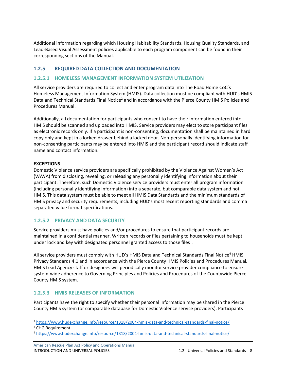Additional information regarding which Housing Habitability Standards, Housing Quality Standards, and Lead-Based Visual Assessment policies applicable to each program component can be found in their corresponding sections of the Manual.

### <span id="page-9-0"></span>**1.2.5 REQUIRED DATA COLLECTION AND DOCUMENTATION**

### <span id="page-9-1"></span>**1.2.5.1 HOMELESS MANAGEMENT INFORMATION SYSTEM UTILIZATION**

All service providers are required to collect and enter program data into The Road Home CoC's Homeless Management Information System (HMIS). Data collection must be compliant with HUD's HMIS Data and Technical Standards Final Notice<sup>2</sup> and in accordance with the Pierce County HMIS Policies and Procedures Manual.

Additionally, all documentation for participants who consent to have their information entered into HMIS should be scanned and uploaded into HMIS. Service providers may elect to store participant files as electronic records only. If a participant is non-consenting, documentation shall be maintained in hard copy only and kept in a locked drawer behind a locked door. Non-personally identifying information for non-consenting participants may be entered into HMIS and the participant record should indicate staff name and contact information.

#### **EXCEPTIONS**

Domestic Violence service providers are specifically prohibited by the Violence Against Women's Act (VAWA) from disclosing, revealing, or releasing any personally identifying information about their participant. Therefore, such Domestic Violence service providers must enter all program information (including personally identifying information) into a separate, but comparable data system and not HMIS. This data system must be able to meet all HMIS Data Standards and the minimum standards of HMIS privacy and security requirements, including HUD's most recent reporting standards and comma separated value format specifications.

#### <span id="page-9-2"></span>**1.2.5.2 PRIVACY AND DATA SECURITY**

Service providers must have policies and/or procedures to ensure that participant records are maintained in a confidential manner. Written records or files pertaining to households must be kept under lock and key with designated personnel granted access to those files<sup>3</sup>.

All service providers must comply with HUD's HMIS Data and Technical Standards Final Notice<sup>4</sup> HMIS Privacy Standards 4.1 and in accordance with the Pierce County HMIS Policies and Procedures Manual*.* HMIS Lead Agency staff or designees will periodically monitor service provider compliance to ensure system-wide adherence to Governing Principles and Policies and Procedures of the Countywide Pierce County HMIS system.

#### <span id="page-9-3"></span>**1.2.5.3 HMIS RELEASES OF INFORMATION**

Participants have the right to specify whether their personal information may be shared in the Pierce County HMIS system (or comparable database for Domestic Violence service providers). Participants

<sup>2</sup> <https://www.hudexchange.info/resource/1318/2004-hmis-data-and-technical-standards-final-notice/>

<sup>&</sup>lt;sup>3</sup> CHG Requirement

<sup>4</sup> <https://www.hudexchange.info/resource/1318/2004-hmis-data-and-technical-standards-final-notice/>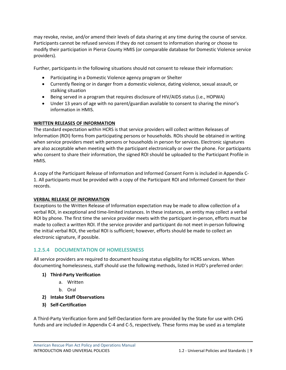may revoke, revise, and/or amend their levels of data sharing at any time during the course of service. Participants cannot be refused services if they do not consent to information sharing or choose to modify their participation in Pierce County HMIS (or comparable database for Domestic Violence service providers).

Further, participants in the following situations should not consent to release their information:

- Participating in a Domestic Violence agency program or Shelter
- Currently fleeing or in danger from a domestic violence, dating violence, sexual assault, or stalking situation
- Being served in a program that requires disclosure of HIV/AIDS status (i.e., HOPWA)
- Under 13 years of age with no parent/guardian available to consent to sharing the minor's information in HMIS.

#### **WRITTEN RELEASES OF INFORMATION**

The standard expectation within HCRS is that service providers will collect written Releases of Information (ROI) forms from participating persons or households. ROIs should be obtained in writing when service providers meet with persons or households in person for services. Electronic signatures are also acceptable when meeting with the participant electronically or over the phone. For participants who consent to share their information, the signed ROI should be uploaded to the Participant Profile in HMIS.

A copy of the Participant Release of Information and Informed Consent Form is included in Appendix C-1. All participants must be provided with a copy of the Participant ROI and Informed Consent for their records.

#### **VERBAL RELEASE OF INFORMATION**

Exceptions to the Written Release of Information expectation may be made to allow collection of a verbal ROI, in exceptional and time-limited instances. In these instances, an entity may collect a verbal ROI by phone. The first time the service provider meets with the participant in-person, efforts must be made to collect a written ROI. If the service provider and participant do not meet in-person following the initial verbal ROI, the verbal ROI is sufficient; however, efforts should be made to collect an electronic signature, if possible.

#### <span id="page-10-0"></span>**1.2.5.4 DOCUMENTATION OF HOMELESSNESS**

All service providers are required to document housing status eligibility for HCRS services. When documenting homelessness, staff should use the following methods, listed in HUD's preferred order:

- **1) Third-Party Verification**
	- a. Written
	- b. Oral
- **2) Intake Staff Observations**
- **3) Self-Certification**

A Third-Party Verification form and Self-Declaration form are provided by the State for use with CHG funds and are included in Appendix C-4 and C-5, respectively. These forms may be used as a template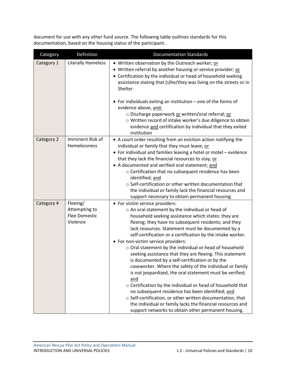document for use with any other fund source. The following table outlines standards for this documentation, based on the housing status of the participant.

| Category   | Definition                                                    | <b>Documentation Standards</b>                                                                                                                                                                                                                                                                                                                                                                                                                                                                                                                                                                                                                                                                                                                                                                                                                                                                                                                                                     |
|------------|---------------------------------------------------------------|------------------------------------------------------------------------------------------------------------------------------------------------------------------------------------------------------------------------------------------------------------------------------------------------------------------------------------------------------------------------------------------------------------------------------------------------------------------------------------------------------------------------------------------------------------------------------------------------------------------------------------------------------------------------------------------------------------------------------------------------------------------------------------------------------------------------------------------------------------------------------------------------------------------------------------------------------------------------------------|
| Category 1 | <b>Literally Homeless</b>                                     | • Written observation by the Outreach worker; or<br>• Written referral by another housing or service provider; or<br>• Certification by the individual or head of household seeking<br>assistance stating that (s)he/they was living on the streets or in<br>Shelter                                                                                                                                                                                                                                                                                                                                                                                                                                                                                                                                                                                                                                                                                                               |
|            |                                                               | • For individuals exiting an institution $-$ one of the forms of<br>evidence above, and:<br>o Discharge paperwork or written/oral referral; or<br>o Written record of intake worker's due diligence to obtain<br>evidence and certification by individual that they exited<br>institution                                                                                                                                                                                                                                                                                                                                                                                                                                                                                                                                                                                                                                                                                          |
| Category 2 | Imminent Risk of<br>Homelessness                              | • A court order resulting from an eviction action notifying the<br>individual or family that they must leave; or<br>• For individual and families leaving a hotel or motel - evidence<br>that they lack the financial resources to stay; or<br>• A documented and verified oral statement; and<br>$\circ$ Certification that no subsequent residence has been<br>identified; and<br>○ Self-certification or other written documentation that<br>the individual or family lack the financial resources and<br>support necessary to obtain permanent housing                                                                                                                                                                                                                                                                                                                                                                                                                         |
| Category 4 | Fleeing/<br>Attempting to<br><b>Flee Domestic</b><br>Violence | • For victim service providers:<br>o An oral statement by the individual or head of<br>household seeking assistance which states: they are<br>fleeing; they have no subsequent residents; and they<br>lack resources. Statement must be documented by a<br>self-certification or a certification by the intake worker.<br>• For non-victim service providers:<br>o Oral statement by the individual or head of household<br>seeking assistance that they are fleeing. This statement<br>is documented by a self-certification or by the<br>caseworker. Where the safety of the individual or family<br>is not jeopardized, the oral statement must be verified;<br>and<br>$\circ$ Certification by the individual or head of household that<br>no subsequent residence has been identified; and<br>o Self-certification, or other written documentation, that<br>the individual or family lacks the financial resources and<br>support networks to obtain other permanent housing. |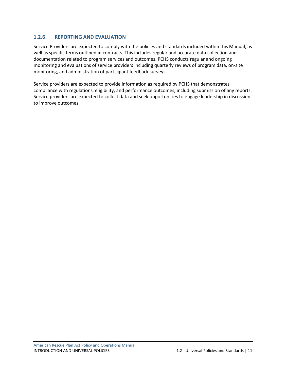# <span id="page-12-0"></span>**1.2.6 REPORTING AND EVALUATION**

Service Providers are expected to comply with the policies and standards included within this Manual, as well as specific terms outlined in contracts. This includes regular and accurate data collection and documentation related to program services and outcomes. PCHS conducts regular and ongoing monitoring and evaluations of service providers including quarterly reviews of program data, on-site monitoring, and administration of participant feedback surveys.

Service providers are expected to provide information as required by PCHS that demonstrates compliance with regulations, eligibility, and performance outcomes, including submission of any reports. Service providers are expected to collect data and seek opportunities to engage leadership in discussion to improve outcomes.